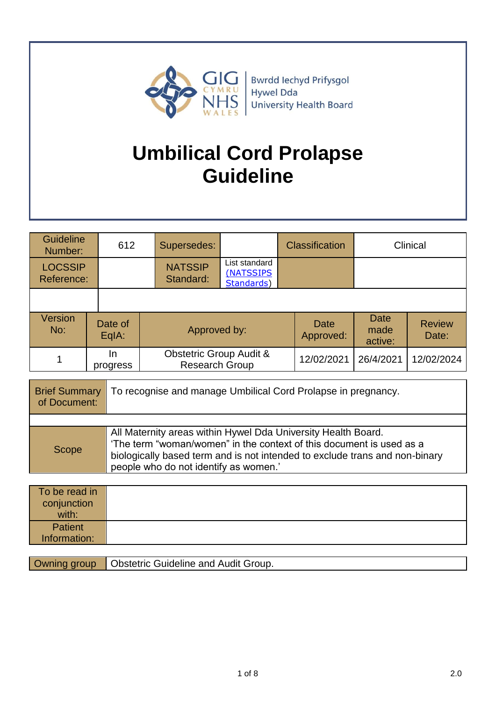

**Bwrdd lechyd Prifysgol** Hywel Dda **University Health Board** 

# **Umbilical Cord Prolapse Guideline**

| <b>Guideline</b><br>612<br>Number: |                  | Supersedes:                 |                                                             |  | Clinical<br><b>Classification</b> |                        |  |
|------------------------------------|------------------|-----------------------------|-------------------------------------------------------------|--|-----------------------------------|------------------------|--|
| <b>LOCSSIP</b><br>Reference:       |                  | <b>NATSSIP</b><br>Standard: | List standard<br>(NATSSIPS<br>Standards)                    |  |                                   |                        |  |
|                                    |                  |                             |                                                             |  |                                   |                        |  |
| <b>Version</b><br>No:              | Date of<br>EqIA: |                             | Approved by:                                                |  | <b>Date</b><br>made<br>active:    | <b>Review</b><br>Date: |  |
|                                    | In<br>progress   |                             | <b>Obstetric Group Audit &amp;</b><br><b>Research Group</b> |  | 26/4/2021                         | 12/02/2024             |  |

| <b>Brief Summary</b><br>of Document: | To recognise and manage Umbilical Cord Prolapse in pregnancy.                                                                                                                                                                                                 |
|--------------------------------------|---------------------------------------------------------------------------------------------------------------------------------------------------------------------------------------------------------------------------------------------------------------|
|                                      |                                                                                                                                                                                                                                                               |
| Scope                                | All Maternity areas within Hywel Dda University Health Board.<br>'The term "woman/women" in the context of this document is used as a<br>biologically based term and is not intended to exclude trans and non-binary<br>people who do not identify as women.' |

| To be read in<br>conjunction<br>with: |  |
|---------------------------------------|--|
| Patient<br>Information:               |  |

Owning group | Obstetric Guideline and Audit Group.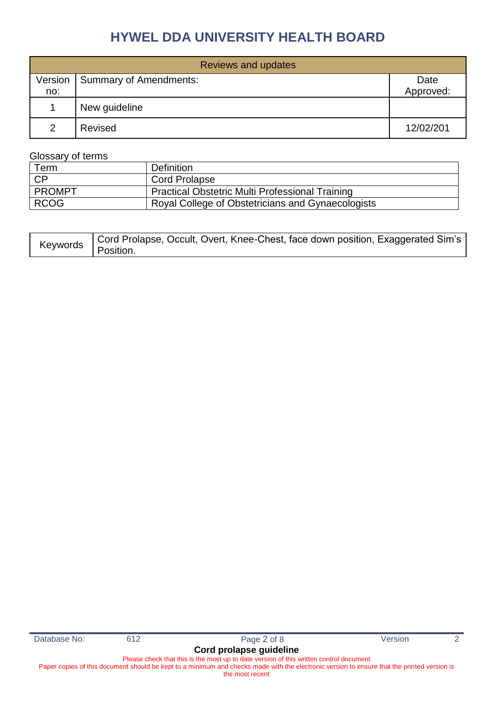|               | <b>Reviews and updates</b> |           |  |  |  |  |
|---------------|----------------------------|-----------|--|--|--|--|
| Version       | Summary of Amendments:     | Date      |  |  |  |  |
| no:           |                            | Approved: |  |  |  |  |
|               | New guideline              |           |  |  |  |  |
| $\mathcal{P}$ | Revised                    | 12/02/201 |  |  |  |  |

#### Glossary of terms

| Term          | <b>Definition</b>                                      |
|---------------|--------------------------------------------------------|
| - CP          | <b>Cord Prolapse</b>                                   |
| <b>PROMPT</b> | <b>Practical Obstetric Multi Professional Training</b> |
| <b>RCOG</b>   | Royal College of Obstetricians and Gynaecologists      |

| Keywords Cord Prolapse, Occult, Overt, Knee-Chest, face down position, Exaggerated Sim's Reywords Cossition. |
|--------------------------------------------------------------------------------------------------------------|
|                                                                                                              |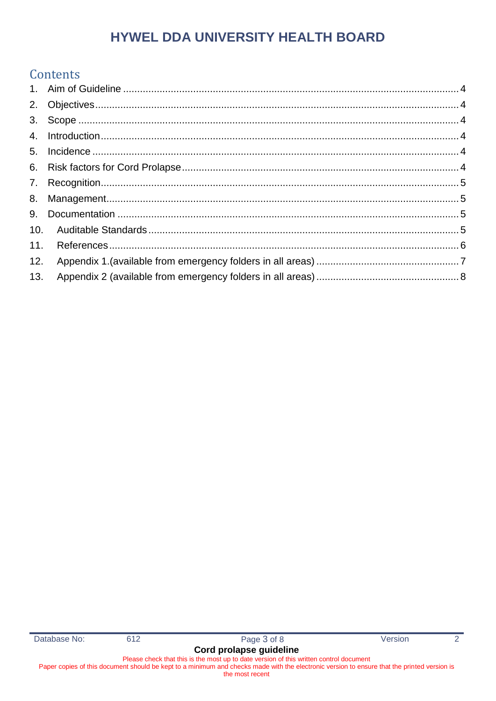### Contents

| 10. |  |
|-----|--|
| 11. |  |
|     |  |
| 13. |  |
|     |  |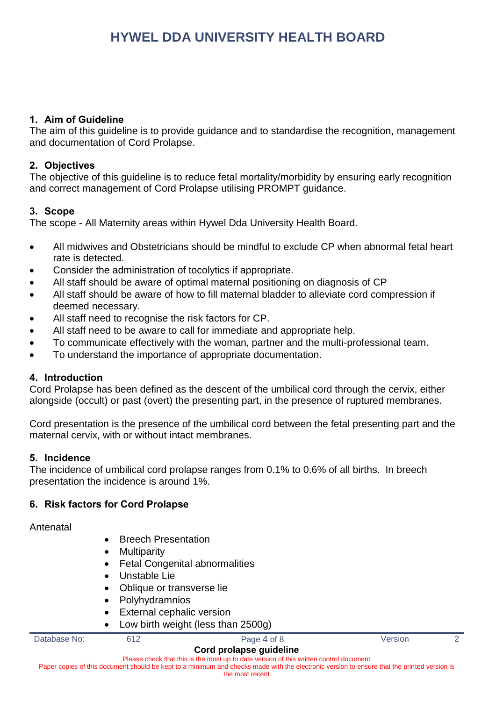#### <span id="page-3-0"></span>**1. Aim of Guideline**

The aim of this guideline is to provide guidance and to standardise the recognition, management and documentation of Cord Prolapse.

#### <span id="page-3-1"></span>**2. Objectives**

The objective of this guideline is to reduce fetal mortality/morbidity by ensuring early recognition and correct management of Cord Prolapse utilising PROMPT guidance.

#### <span id="page-3-2"></span>**3. Scope**

The scope - All Maternity areas within Hywel Dda University Health Board.

- All midwives and Obstetricians should be mindful to exclude CP when abnormal fetal heart rate is detected.
- Consider the administration of tocolytics if appropriate.
- All staff should be aware of optimal maternal positioning on diagnosis of CP
- All staff should be aware of how to fill maternal bladder to alleviate cord compression if deemed necessary.
- All staff need to recognise the risk factors for CP.
- All staff need to be aware to call for immediate and appropriate help.
- To communicate effectively with the woman, partner and the multi-professional team.
- To understand the importance of appropriate documentation.

#### <span id="page-3-3"></span>**4. Introduction**

Cord Prolapse has been defined as the descent of the umbilical cord through the cervix, either alongside (occult) or past (overt) the presenting part, in the presence of ruptured membranes.

Cord presentation is the presence of the umbilical cord between the fetal presenting part and the maternal cervix, with or without intact membranes.

#### <span id="page-3-4"></span>**5. Incidence**

The incidence of umbilical cord prolapse ranges from 0.1% to 0.6% of all births. In breech presentation the incidence is around 1%.

#### <span id="page-3-5"></span>**6. Risk factors for Cord Prolapse**

Antenatal

- Breech Presentation
- Multiparity
- Fetal Congenital abnormalities
- Unstable Lie
- Oblique or transverse lie
- Polyhydramnios
- External cephalic version
- Low birth weight (less than 2500g)

| Database No: | Page 4 of 8             | /ersion |  |
|--------------|-------------------------|---------|--|
|              | Cord prolapse guideline |         |  |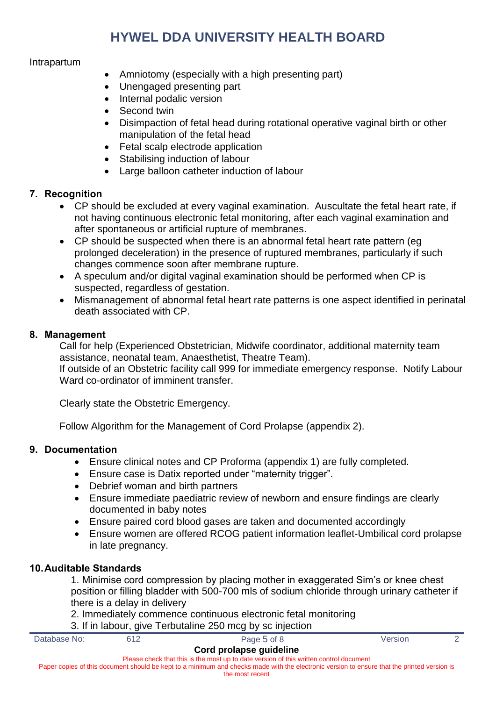#### Intrapartum

- Amniotomy (especially with a high presenting part)
- Unengaged presenting part
- Internal podalic version
- Second twin
- Disimpaction of fetal head during rotational operative vaginal birth or other manipulation of the fetal head
- Fetal scalp electrode application
- Stabilising induction of labour
- Large balloon catheter induction of labour

#### <span id="page-4-0"></span>**7. Recognition**

- CP should be excluded at every vaginal examination. Auscultate the fetal heart rate, if not having continuous electronic fetal monitoring, after each vaginal examination and after spontaneous or artificial rupture of membranes.
- CP should be suspected when there is an abnormal fetal heart rate pattern (eg prolonged deceleration) in the presence of ruptured membranes, particularly if such changes commence soon after membrane rupture.
- A speculum and/or digital vaginal examination should be performed when CP is suspected, regardless of gestation.
- Mismanagement of abnormal fetal heart rate patterns is one aspect identified in perinatal death associated with CP.

#### <span id="page-4-1"></span>**8. Management**

Call for help (Experienced Obstetrician, Midwife coordinator, additional maternity team assistance, neonatal team, Anaesthetist, Theatre Team).

If outside of an Obstetric facility call 999 for immediate emergency response. Notify Labour Ward co-ordinator of imminent transfer.

Clearly state the Obstetric Emergency.

Follow Algorithm for the Management of Cord Prolapse (appendix 2).

#### <span id="page-4-2"></span>**9. Documentation**

- Ensure clinical notes and CP Proforma (appendix 1) are fully completed.
- Ensure case is Datix reported under "maternity trigger".
- Debrief woman and birth partners
- Ensure immediate paediatric review of newborn and ensure findings are clearly documented in baby notes
- Ensure paired cord blood gases are taken and documented accordingly
- Ensure women are offered RCOG patient information leaflet-Umbilical cord prolapse in late pregnancy.

#### <span id="page-4-3"></span>**10.Auditable Standards**

- 1. Minimise cord compression by placing mother in exaggerated Sim's or knee chest position or filling bladder with 500-700 mls of sodium chloride through urinary catheter if there is a delay in delivery
- 2. Immediately commence continuous electronic fetal monitoring

|              |     | 3. If in labour, give Terbutaline 250 mcg by sc injection                                                                                                                                                                                                                           |         |  |
|--------------|-----|-------------------------------------------------------------------------------------------------------------------------------------------------------------------------------------------------------------------------------------------------------------------------------------|---------|--|
| Database No: | 612 | Page 5 of 8                                                                                                                                                                                                                                                                         | Version |  |
|              |     | Cord prolapse guideline<br>Please check that this is the most up to date version of this written control document<br>Paper copies of this document should be kept to a minimum and checks made with the electronic version to ensure that the printed version is<br>the most recent |         |  |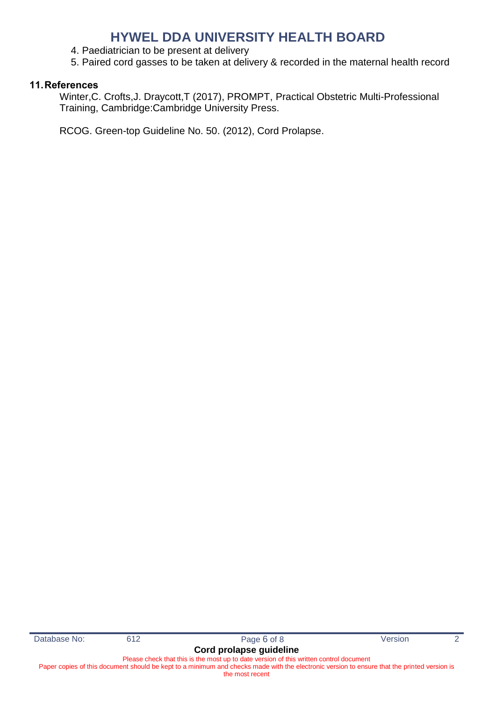- 4. Paediatrician to be present at delivery
- 5. Paired cord gasses to be taken at delivery & recorded in the maternal health record

#### <span id="page-5-0"></span>**11.References**

Winter,C. Crofts,J. Draycott,T (2017), PROMPT, Practical Obstetric Multi-Professional Training, Cambridge:Cambridge University Press.

RCOG. Green-top Guideline No. 50. (2012), Cord Prolapse.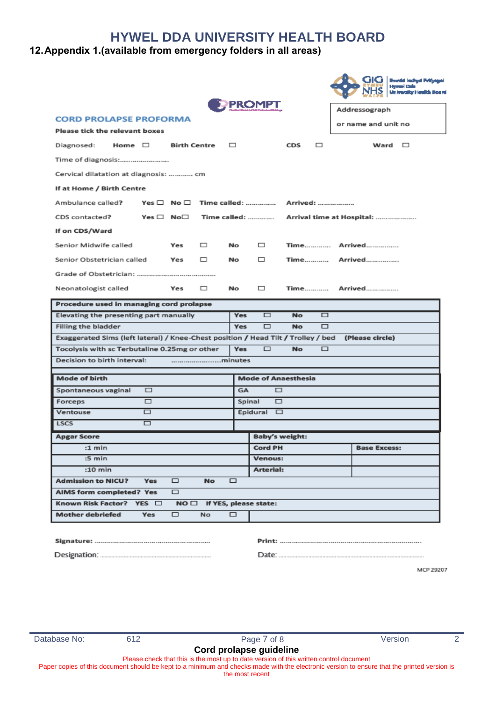#### <span id="page-6-0"></span>**12.Appendix 1.(available from emergency folders in all areas)**

|                                                                                         |            |                     |           |           |                                 |           |          | GIG<br><b>Brandal Inchest Principal</b><br>Herman Cada<br>University Houlth Board |
|-----------------------------------------------------------------------------------------|------------|---------------------|-----------|-----------|---------------------------------|-----------|----------|-----------------------------------------------------------------------------------|
|                                                                                         |            |                     |           |           | <b>PROMPT</b>                   |           |          | Addressograph                                                                     |
| <b>CORD PROLAPSE PROFORMA</b>                                                           |            |                     |           |           |                                 |           |          | or name and unit no                                                               |
| Please tick the relevant boxes                                                          |            |                     |           |           |                                 |           |          |                                                                                   |
| Home $\square$<br>Diagnosed:                                                            |            | <b>Birth Centre</b> |           | $\Box$    |                                 | CDS       | ▭        | Ward $\square$                                                                    |
| Time of diagnosis:                                                                      |            |                     |           |           |                                 |           |          |                                                                                   |
| Cervical dilatation at diagnosis:  cm                                                   |            |                     |           |           |                                 |           |          |                                                                                   |
| If at Home / Birth Centre                                                               |            |                     |           |           |                                 |           |          |                                                                                   |
| Ambulance called?                                                                       |            |                     |           |           |                                 |           | Arrived: |                                                                                   |
| CDS contacted?                                                                          |            | Yes □ No□           |           |           | Time called:                    |           |          | Arrival time at Hospital:                                                         |
| If on CDS/Ward                                                                          |            |                     |           |           |                                 |           |          |                                                                                   |
| Senior Midwife called                                                                   |            | Yes                 | ▭         | No        | □                               |           |          |                                                                                   |
| Senior Obstetrician called                                                              |            | Yes                 | ▭         | No        | □                               |           | Time     | Arrived                                                                           |
|                                                                                         |            |                     |           |           |                                 |           |          |                                                                                   |
| Neonatologist called                                                                    |            | Yes                 | ▭         | No        | □                               |           | Time     | Arrived                                                                           |
| Procedure used in managing cord prolapse                                                |            |                     |           |           |                                 |           |          |                                                                                   |
| Elevating the presenting part manually                                                  |            |                     |           | Yes       | □                               | <b>No</b> | □        |                                                                                   |
| Filling the bladder                                                                     |            |                     |           | Yes       | $\Box$                          | <b>No</b> | □        |                                                                                   |
| Exaggerated Sims (left lateral) / Knee-Chest position / Head Tilt / Trolley / bed       |            |                     |           |           |                                 |           |          | (Please circle)                                                                   |
| Tocolysis with sc Terbutaline 0.25mg or other<br>$\Box$<br>▭<br><b>Yes</b><br><b>No</b> |            |                     |           |           |                                 |           |          |                                                                                   |
| Decision to birth interval:                                                             |            |                     | minutes   |           |                                 |           |          |                                                                                   |
| Mode of birth                                                                           |            |                     |           |           | <b>Mode of Anaesthesia</b>      |           |          |                                                                                   |
| Spontaneous vaginal                                                                     | $\Box$     |                     |           | <b>GA</b> | □                               |           |          |                                                                                   |
| Forceps                                                                                 | $\Box$     |                     |           |           | □<br>Spinal                     |           |          |                                                                                   |
| Ventouse                                                                                | □          |                     |           |           | Epidural $\square$              |           |          |                                                                                   |
| <b>LSCS</b>                                                                             | □          |                     |           |           |                                 |           |          |                                                                                   |
| <b>Apgar Score</b>                                                                      |            |                     |           |           | <b>Baby's weight:</b>           |           |          |                                                                                   |
| $:1$ min                                                                                |            |                     |           |           | <b>Cord PH</b>                  |           |          | <b>Base Excess:</b>                                                               |
| :5 min                                                                                  |            |                     |           |           | Venous:                         |           |          |                                                                                   |
| $:10$ min                                                                               |            |                     |           |           | Arterial:                       |           |          |                                                                                   |
| <b>Admission to NICU?</b>                                                               | <b>Yes</b> | $\Box$              | <b>No</b> | $\Box$    |                                 |           |          |                                                                                   |
| AIMS form completed? Yes                                                                |            | $\Box$              |           |           |                                 |           |          |                                                                                   |
| Known Risk Factor? YES □                                                                |            |                     |           |           | $NO \Box$ If YES, please state: |           |          |                                                                                   |
|                                                                                         |            |                     |           |           |                                 |           |          |                                                                                   |

MCP 29207

Please check that this is the most up to date version of this written control document Paper copies of this document should be kept to a minimum and checks made with the electronic version to ensure that the printed version is

the most recent